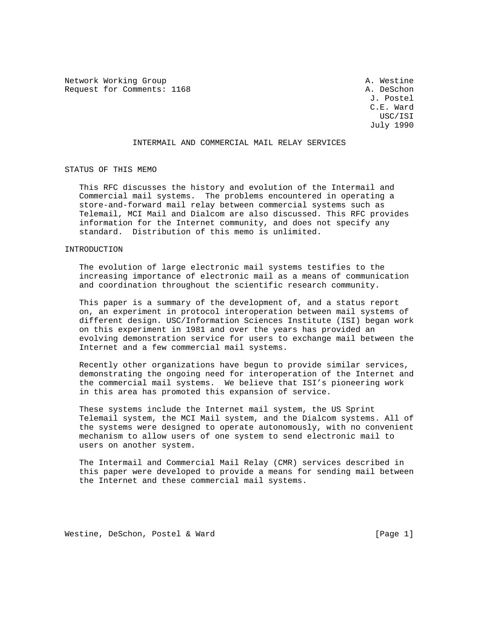Network Working Group and the settle and the settle and the settle and the settle and the settle and the settle Request for Comments: 1168 A. DeSchon

 J. Postel C.E. Ward USC/ISI July 1990

# INTERMAIL AND COMMERCIAL MAIL RELAY SERVICES

STATUS OF THIS MEMO

 This RFC discusses the history and evolution of the Intermail and Commercial mail systems. The problems encountered in operating a store-and-forward mail relay between commercial systems such as Telemail, MCI Mail and Dialcom are also discussed. This RFC provides information for the Internet community, and does not specify any standard. Distribution of this memo is unlimited.

### INTRODUCTION

 The evolution of large electronic mail systems testifies to the increasing importance of electronic mail as a means of communication and coordination throughout the scientific research community.

 This paper is a summary of the development of, and a status report on, an experiment in protocol interoperation between mail systems of different design. USC/Information Sciences Institute (ISI) began work on this experiment in 1981 and over the years has provided an evolving demonstration service for users to exchange mail between the Internet and a few commercial mail systems.

 Recently other organizations have begun to provide similar services, demonstrating the ongoing need for interoperation of the Internet and the commercial mail systems. We believe that ISI's pioneering work in this area has promoted this expansion of service.

 These systems include the Internet mail system, the US Sprint Telemail system, the MCI Mail system, and the Dialcom systems. All of the systems were designed to operate autonomously, with no convenient mechanism to allow users of one system to send electronic mail to users on another system.

 The Intermail and Commercial Mail Relay (CMR) services described in this paper were developed to provide a means for sending mail between the Internet and these commercial mail systems.

Westine, DeSchon, Postel & Ward [Page 1]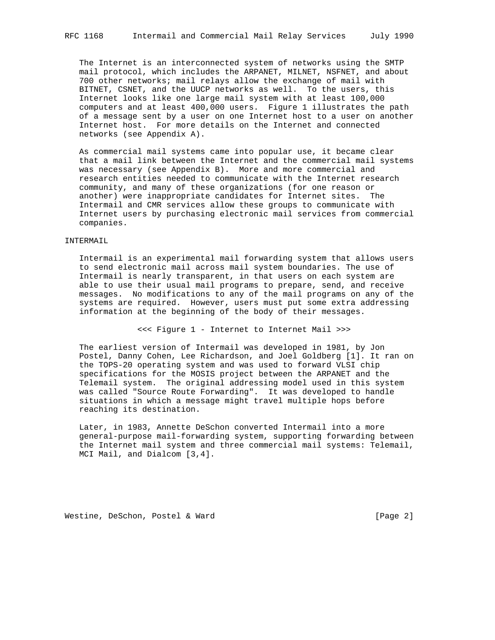The Internet is an interconnected system of networks using the SMTP mail protocol, which includes the ARPANET, MILNET, NSFNET, and about 700 other networks; mail relays allow the exchange of mail with BITNET, CSNET, and the UUCP networks as well. To the users, this Internet looks like one large mail system with at least 100,000 computers and at least 400,000 users. Figure 1 illustrates the path of a message sent by a user on one Internet host to a user on another Internet host. For more details on the Internet and connected networks (see Appendix A).

 As commercial mail systems came into popular use, it became clear that a mail link between the Internet and the commercial mail systems was necessary (see Appendix B). More and more commercial and research entities needed to communicate with the Internet research community, and many of these organizations (for one reason or another) were inappropriate candidates for Internet sites. The Intermail and CMR services allow these groups to communicate with Internet users by purchasing electronic mail services from commercial companies.

#### INTERMAIL

 Intermail is an experimental mail forwarding system that allows users to send electronic mail across mail system boundaries. The use of Intermail is nearly transparent, in that users on each system are able to use their usual mail programs to prepare, send, and receive messages. No modifications to any of the mail programs on any of the systems are required. However, users must put some extra addressing information at the beginning of the body of their messages.

<<< Figure 1 - Internet to Internet Mail >>>

 The earliest version of Intermail was developed in 1981, by Jon Postel, Danny Cohen, Lee Richardson, and Joel Goldberg [1]. It ran on the TOPS-20 operating system and was used to forward VLSI chip specifications for the MOSIS project between the ARPANET and the Telemail system. The original addressing model used in this system was called "Source Route Forwarding". It was developed to handle situations in which a message might travel multiple hops before reaching its destination.

 Later, in 1983, Annette DeSchon converted Intermail into a more general-purpose mail-forwarding system, supporting forwarding between the Internet mail system and three commercial mail systems: Telemail, MCI Mail, and Dialcom [3,4].

Westine, DeSchon, Postel & Ward [Page 2]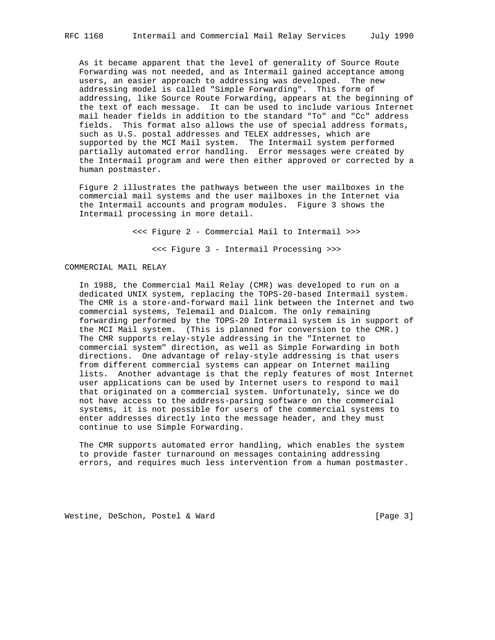As it became apparent that the level of generality of Source Route Forwarding was not needed, and as Intermail gained acceptance among users, an easier approach to addressing was developed. The new addressing model is called "Simple Forwarding". This form of addressing, like Source Route Forwarding, appears at the beginning of the text of each message. It can be used to include various Internet mail header fields in addition to the standard "To" and "Cc" address fields. This format also allows the use of special address formats, such as U.S. postal addresses and TELEX addresses, which are supported by the MCI Mail system. The Intermail system performed partially automated error handling. Error messages were created by the Intermail program and were then either approved or corrected by a human postmaster.

 Figure 2 illustrates the pathways between the user mailboxes in the commercial mail systems and the user mailboxes in the Internet via the Intermail accounts and program modules. Figure 3 shows the Intermail processing in more detail.

> <<< Figure 2 - Commercial Mail to Intermail >>> <<< Figure 3 - Intermail Processing >>>

## COMMERCIAL MAIL RELAY

 In 1988, the Commercial Mail Relay (CMR) was developed to run on a dedicated UNIX system, replacing the TOPS-20-based Intermail system. The CMR is a store-and-forward mail link between the Internet and two commercial systems, Telemail and Dialcom. The only remaining forwarding performed by the TOPS-20 Intermail system is in support of the MCI Mail system. (This is planned for conversion to the CMR.) The CMR supports relay-style addressing in the "Internet to commercial system" direction, as well as Simple Forwarding in both directions. One advantage of relay-style addressing is that users from different commercial systems can appear on Internet mailing lists. Another advantage is that the reply features of most Internet user applications can be used by Internet users to respond to mail that originated on a commercial system. Unfortunately, since we do not have access to the address-parsing software on the commercial systems, it is not possible for users of the commercial systems to enter addresses directly into the message header, and they must continue to use Simple Forwarding.

 The CMR supports automated error handling, which enables the system to provide faster turnaround on messages containing addressing errors, and requires much less intervention from a human postmaster.

Westine, DeSchon, Postel & Ward [Page 3]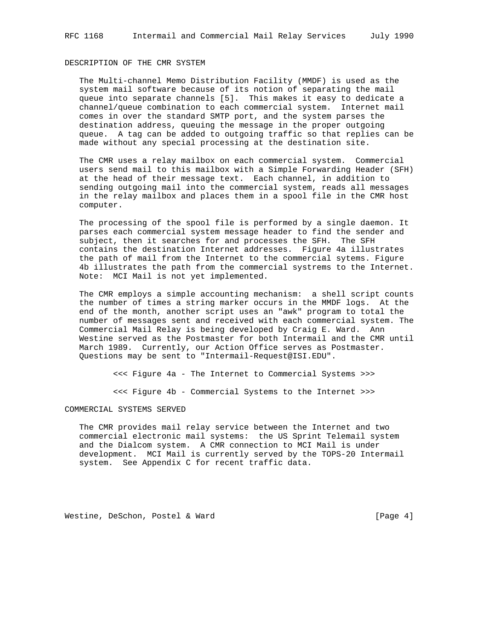# DESCRIPTION OF THE CMR SYSTEM

 The Multi-channel Memo Distribution Facility (MMDF) is used as the system mail software because of its notion of separating the mail queue into separate channels [5]. This makes it easy to dedicate a channel/queue combination to each commercial system. Internet mail comes in over the standard SMTP port, and the system parses the destination address, queuing the message in the proper outgoing queue. A tag can be added to outgoing traffic so that replies can be made without any special processing at the destination site.

 The CMR uses a relay mailbox on each commercial system. Commercial users send mail to this mailbox with a Simple Forwarding Header (SFH) at the head of their message text. Each channel, in addition to sending outgoing mail into the commercial system, reads all messages in the relay mailbox and places them in a spool file in the CMR host computer.

 The processing of the spool file is performed by a single daemon. It parses each commercial system message header to find the sender and subject, then it searches for and processes the SFH. The SFH contains the destination Internet addresses. Figure 4a illustrates the path of mail from the Internet to the commercial sytems. Figure 4b illustrates the path from the commercial systrems to the Internet. Note: MCI Mail is not yet implemented.

 The CMR employs a simple accounting mechanism: a shell script counts the number of times a string marker occurs in the MMDF logs. At the end of the month, another script uses an "awk" program to total the number of messages sent and received with each commercial system. The Commercial Mail Relay is being developed by Craig E. Ward. Ann Westine served as the Postmaster for both Intermail and the CMR until March 1989. Currently, our Action Office serves as Postmaster. Questions may be sent to "Intermail-Request@ISI.EDU".

<<< Figure 4a - The Internet to Commercial Systems >>>

<<< Figure 4b - Commercial Systems to the Internet >>>

#### COMMERCIAL SYSTEMS SERVED

 The CMR provides mail relay service between the Internet and two commercial electronic mail systems: the US Sprint Telemail system and the Dialcom system. A CMR connection to MCI Mail is under development. MCI Mail is currently served by the TOPS-20 Intermail system. See Appendix C for recent traffic data.

Westine, DeSchon, Postel & Ward [Page 4]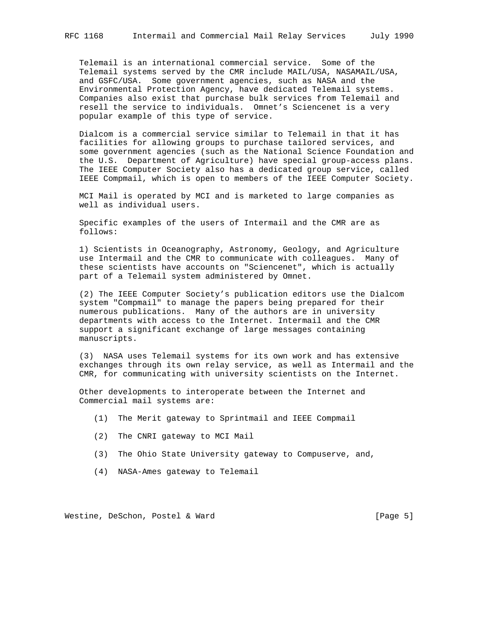Telemail is an international commercial service. Some of the Telemail systems served by the CMR include MAIL/USA, NASAMAIL/USA, and GSFC/USA. Some government agencies, such as NASA and the Environmental Protection Agency, have dedicated Telemail systems. Companies also exist that purchase bulk services from Telemail and resell the service to individuals. Omnet's Sciencenet is a very popular example of this type of service.

 Dialcom is a commercial service similar to Telemail in that it has facilities for allowing groups to purchase tailored services, and some government agencies (such as the National Science Foundation and the U.S. Department of Agriculture) have special group-access plans. The IEEE Computer Society also has a dedicated group service, called IEEE Compmail, which is open to members of the IEEE Computer Society.

 MCI Mail is operated by MCI and is marketed to large companies as well as individual users.

 Specific examples of the users of Intermail and the CMR are as follows:

 1) Scientists in Oceanography, Astronomy, Geology, and Agriculture use Intermail and the CMR to communicate with colleagues. Many of these scientists have accounts on "Sciencenet", which is actually part of a Telemail system administered by Omnet.

 (2) The IEEE Computer Society's publication editors use the Dialcom system "Compmail" to manage the papers being prepared for their numerous publications. Many of the authors are in university departments with access to the Internet. Intermail and the CMR support a significant exchange of large messages containing manuscripts.

 (3) NASA uses Telemail systems for its own work and has extensive exchanges through its own relay service, as well as Intermail and the CMR, for communicating with university scientists on the Internet.

 Other developments to interoperate between the Internet and Commercial mail systems are:

- (1) The Merit gateway to Sprintmail and IEEE Compmail
- (2) The CNRI gateway to MCI Mail
- (3) The Ohio State University gateway to Compuserve, and,
- (4) NASA-Ames gateway to Telemail

Westine, DeSchon, Postel & Ward [Page 5]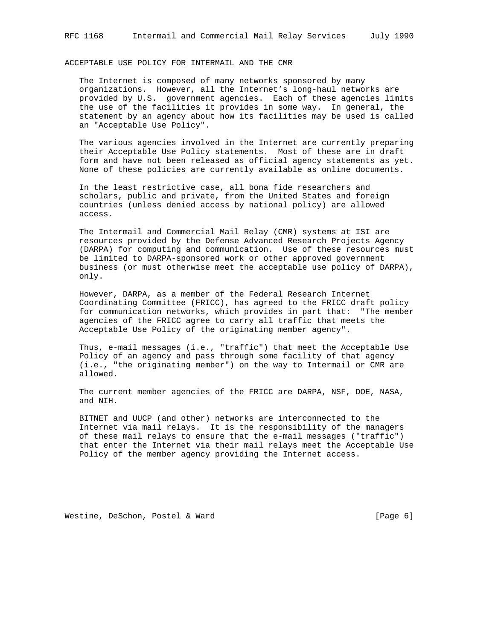ACCEPTABLE USE POLICY FOR INTERMAIL AND THE CMR

 The Internet is composed of many networks sponsored by many organizations. However, all the Internet's long-haul networks are provided by U.S. government agencies. Each of these agencies limits the use of the facilities it provides in some way. In general, the statement by an agency about how its facilities may be used is called an "Acceptable Use Policy".

 The various agencies involved in the Internet are currently preparing their Acceptable Use Policy statements. Most of these are in draft form and have not been released as official agency statements as yet. None of these policies are currently available as online documents.

 In the least restrictive case, all bona fide researchers and scholars, public and private, from the United States and foreign countries (unless denied access by national policy) are allowed access.

 The Intermail and Commercial Mail Relay (CMR) systems at ISI are resources provided by the Defense Advanced Research Projects Agency (DARPA) for computing and communication. Use of these resources must be limited to DARPA-sponsored work or other approved government business (or must otherwise meet the acceptable use policy of DARPA), only.

 However, DARPA, as a member of the Federal Research Internet Coordinating Committee (FRICC), has agreed to the FRICC draft policy for communication networks, which provides in part that: "The member agencies of the FRICC agree to carry all traffic that meets the Acceptable Use Policy of the originating member agency".

 Thus, e-mail messages (i.e., "traffic") that meet the Acceptable Use Policy of an agency and pass through some facility of that agency (i.e., "the originating member") on the way to Intermail or CMR are allowed.

 The current member agencies of the FRICC are DARPA, NSF, DOE, NASA, and NIH.

 BITNET and UUCP (and other) networks are interconnected to the Internet via mail relays. It is the responsibility of the managers of these mail relays to ensure that the e-mail messages ("traffic") that enter the Internet via their mail relays meet the Acceptable Use Policy of the member agency providing the Internet access.

Westine, DeSchon, Postel & Ward [Page 6]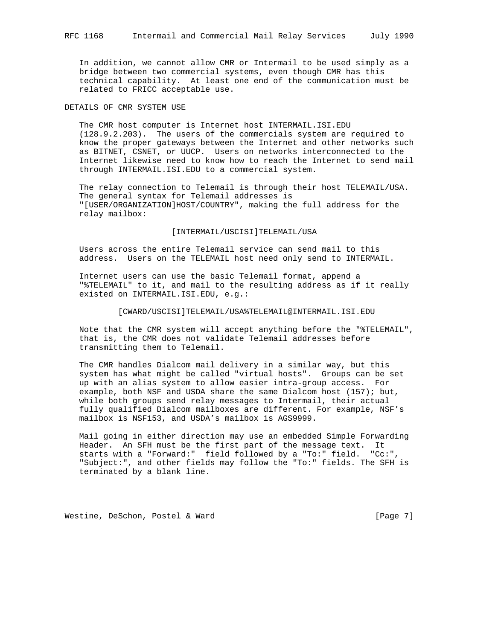In addition, we cannot allow CMR or Intermail to be used simply as a bridge between two commercial systems, even though CMR has this technical capability. At least one end of the communication must be related to FRICC acceptable use.

DETAILS OF CMR SYSTEM USE

 The CMR host computer is Internet host INTERMAIL.ISI.EDU (128.9.2.203). The users of the commercials system are required to know the proper gateways between the Internet and other networks such as BITNET, CSNET, or UUCP. Users on networks interconnected to the Internet likewise need to know how to reach the Internet to send mail through INTERMAIL.ISI.EDU to a commercial system.

 The relay connection to Telemail is through their host TELEMAIL/USA. The general syntax for Telemail addresses is "[USER/ORGANIZATION]HOST/COUNTRY", making the full address for the relay mailbox:

[INTERMAIL/USCISI]TELEMAIL/USA

 Users across the entire Telemail service can send mail to this address. Users on the TELEMAIL host need only send to INTERMAIL.

 Internet users can use the basic Telemail format, append a "%TELEMAIL" to it, and mail to the resulting address as if it really existed on INTERMAIL.ISI.EDU, e.g.:

#### [CWARD/USCISI]TELEMAIL/USA%TELEMAIL@INTERMAIL.ISI.EDU

 Note that the CMR system will accept anything before the "%TELEMAIL", that is, the CMR does not validate Telemail addresses before transmitting them to Telemail.

 The CMR handles Dialcom mail delivery in a similar way, but this system has what might be called "virtual hosts". Groups can be set up with an alias system to allow easier intra-group access. For example, both NSF and USDA share the same Dialcom host (157); but, while both groups send relay messages to Intermail, their actual fully qualified Dialcom mailboxes are different. For example, NSF's mailbox is NSF153, and USDA's mailbox is AGS9999.

 Mail going in either direction may use an embedded Simple Forwarding Header. An SFH must be the first part of the message text. It starts with a "Forward:" field followed by a "To:" field. "Cc:", "Subject:", and other fields may follow the "To:" fields. The SFH is terminated by a blank line.

Westine, DeSchon, Postel & Ward [Page 7]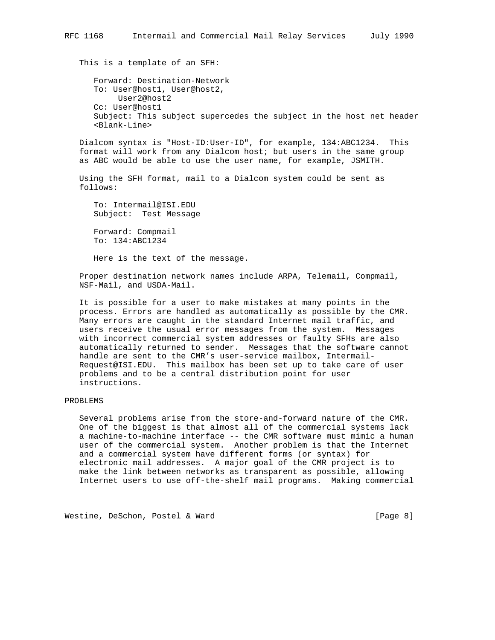This is a template of an SFH:

 Forward: Destination-Network To: User@host1, User@host2, User2@host2 Cc: User@host1 Subject: This subject supercedes the subject in the host net header <Blank-Line>

 Dialcom syntax is "Host-ID:User-ID", for example, 134:ABC1234. This format will work from any Dialcom host; but users in the same group as ABC would be able to use the user name, for example, JSMITH.

 Using the SFH format, mail to a Dialcom system could be sent as follows:

 To: Intermail@ISI.EDU Subject: Test Message

 Forward: Compmail To: 134:ABC1234

Here is the text of the message.

 Proper destination network names include ARPA, Telemail, Compmail, NSF-Mail, and USDA-Mail.

 It is possible for a user to make mistakes at many points in the process. Errors are handled as automatically as possible by the CMR. Many errors are caught in the standard Internet mail traffic, and users receive the usual error messages from the system. Messages with incorrect commercial system addresses or faulty SFHs are also automatically returned to sender. Messages that the software cannot handle are sent to the CMR's user-service mailbox, Intermail- Request@ISI.EDU. This mailbox has been set up to take care of user problems and to be a central distribution point for user instructions.

## PROBLEMS

 Several problems arise from the store-and-forward nature of the CMR. One of the biggest is that almost all of the commercial systems lack a machine-to-machine interface -- the CMR software must mimic a human user of the commercial system. Another problem is that the Internet and a commercial system have different forms (or syntax) for electronic mail addresses. A major goal of the CMR project is to make the link between networks as transparent as possible, allowing Internet users to use off-the-shelf mail programs. Making commercial

Westine, DeSchon, Postel & Ward [Page 8]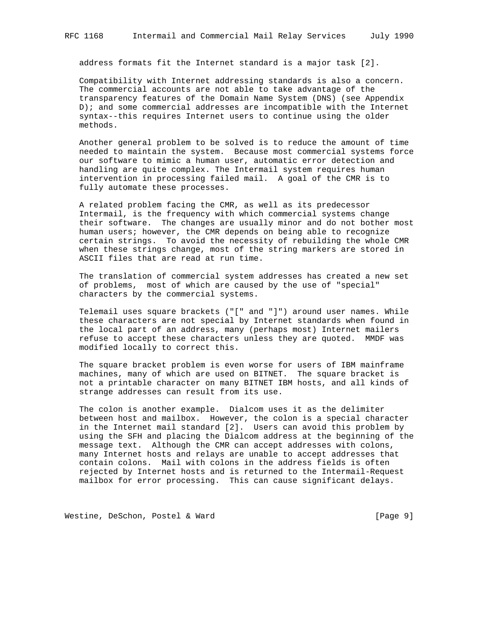address formats fit the Internet standard is a major task [2].

 Compatibility with Internet addressing standards is also a concern. The commercial accounts are not able to take advantage of the transparency features of the Domain Name System (DNS) (see Appendix D); and some commercial addresses are incompatible with the Internet syntax--this requires Internet users to continue using the older methods.

 Another general problem to be solved is to reduce the amount of time needed to maintain the system. Because most commercial systems force our software to mimic a human user, automatic error detection and handling are quite complex. The Intermail system requires human intervention in processing failed mail. A goal of the CMR is to fully automate these processes.

 A related problem facing the CMR, as well as its predecessor Intermail, is the frequency with which commercial systems change their software. The changes are usually minor and do not bother most human users; however, the CMR depends on being able to recognize certain strings. To avoid the necessity of rebuilding the whole CMR when these strings change, most of the string markers are stored in ASCII files that are read at run time.

 The translation of commercial system addresses has created a new set of problems, most of which are caused by the use of "special" characters by the commercial systems.

 Telemail uses square brackets ("[" and "]") around user names. While these characters are not special by Internet standards when found in the local part of an address, many (perhaps most) Internet mailers refuse to accept these characters unless they are quoted. MMDF was modified locally to correct this.

 The square bracket problem is even worse for users of IBM mainframe machines, many of which are used on BITNET. The square bracket is not a printable character on many BITNET IBM hosts, and all kinds of strange addresses can result from its use.

 The colon is another example. Dialcom uses it as the delimiter between host and mailbox. However, the colon is a special character in the Internet mail standard [2]. Users can avoid this problem by using the SFH and placing the Dialcom address at the beginning of the message text. Although the CMR can accept addresses with colons, many Internet hosts and relays are unable to accept addresses that contain colons. Mail with colons in the address fields is often rejected by Internet hosts and is returned to the Intermail-Request mailbox for error processing. This can cause significant delays.

Westine, DeSchon, Postel & Ward [Page 9]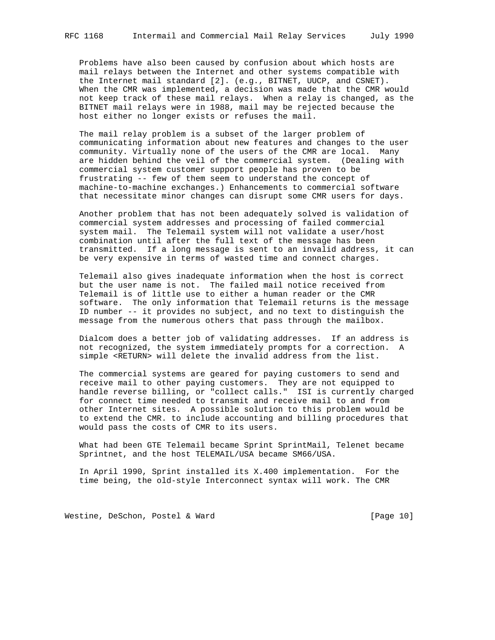Problems have also been caused by confusion about which hosts are mail relays between the Internet and other systems compatible with the Internet mail standard [2]. (e.g., BITNET, UUCP, and CSNET). When the CMR was implemented, a decision was made that the CMR would not keep track of these mail relays. When a relay is changed, as the BITNET mail relays were in 1988, mail may be rejected because the host either no longer exists or refuses the mail.

 The mail relay problem is a subset of the larger problem of communicating information about new features and changes to the user community. Virtually none of the users of the CMR are local. Many are hidden behind the veil of the commercial system. (Dealing with commercial system customer support people has proven to be frustrating -- few of them seem to understand the concept of machine-to-machine exchanges.) Enhancements to commercial software that necessitate minor changes can disrupt some CMR users for days.

 Another problem that has not been adequately solved is validation of commercial system addresses and processing of failed commercial system mail. The Telemail system will not validate a user/host combination until after the full text of the message has been transmitted. If a long message is sent to an invalid address, it can be very expensive in terms of wasted time and connect charges.

 Telemail also gives inadequate information when the host is correct but the user name is not. The failed mail notice received from Telemail is of little use to either a human reader or the CMR software. The only information that Telemail returns is the message ID number -- it provides no subject, and no text to distinguish the message from the numerous others that pass through the mailbox.

 Dialcom does a better job of validating addresses. If an address is not recognized, the system immediately prompts for a correction. A simple <RETURN> will delete the invalid address from the list.

 The commercial systems are geared for paying customers to send and receive mail to other paying customers. They are not equipped to handle reverse billing, or "collect calls." ISI is currently charged for connect time needed to transmit and receive mail to and from other Internet sites. A possible solution to this problem would be to extend the CMR. to include accounting and billing procedures that would pass the costs of CMR to its users.

 What had been GTE Telemail became Sprint SprintMail, Telenet became Sprintnet, and the host TELEMAIL/USA became SM66/USA.

 In April 1990, Sprint installed its X.400 implementation. For the time being, the old-style Interconnect syntax will work. The CMR

Westine, DeSchon, Postel & Ward [Page 10]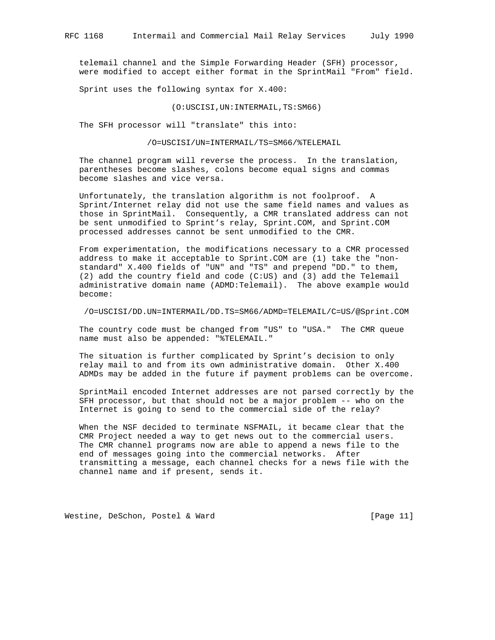telemail channel and the Simple Forwarding Header (SFH) processor, were modified to accept either format in the SprintMail "From" field.

Sprint uses the following syntax for X.400:

(O:USCISI,UN:INTERMAIL,TS:SM66)

The SFH processor will "translate" this into:

/O=USCISI/UN=INTERMAIL/TS=SM66/%TELEMAIL

 The channel program will reverse the process. In the translation, parentheses become slashes, colons become equal signs and commas become slashes and vice versa.

 Unfortunately, the translation algorithm is not foolproof. A Sprint/Internet relay did not use the same field names and values as those in SprintMail. Consequently, a CMR translated address can not be sent unmodified to Sprint's relay, Sprint.COM, and Sprint.COM processed addresses cannot be sent unmodified to the CMR.

 From experimentation, the modifications necessary to a CMR processed address to make it acceptable to Sprint.COM are (1) take the "non standard" X.400 fields of "UN" and "TS" and prepend "DD." to them, (2) add the country field and code (C:US) and (3) add the Telemail administrative domain name (ADMD:Telemail). The above example would become:

/O=USCISI/DD.UN=INTERMAIL/DD.TS=SM66/ADMD=TELEMAIL/C=US/@Sprint.COM

 The country code must be changed from "US" to "USA." The CMR queue name must also be appended: "%TELEMAIL."

 The situation is further complicated by Sprint's decision to only relay mail to and from its own administrative domain. Other X.400 ADMDs may be added in the future if payment problems can be overcome.

 SprintMail encoded Internet addresses are not parsed correctly by the SFH processor, but that should not be a major problem -- who on the Internet is going to send to the commercial side of the relay?

 When the NSF decided to terminate NSFMAIL, it became clear that the CMR Project needed a way to get news out to the commercial users. The CMR channel programs now are able to append a news file to the end of messages going into the commercial networks. After transmitting a message, each channel checks for a news file with the channel name and if present, sends it.

Westine, DeSchon, Postel & Ward [Page 11]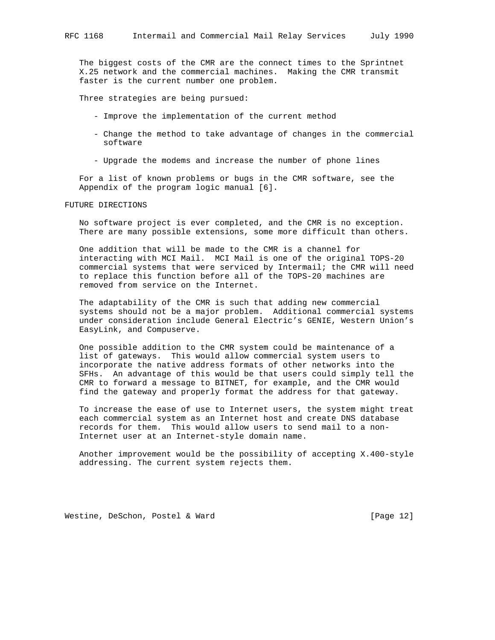The biggest costs of the CMR are the connect times to the Sprintnet X.25 network and the commercial machines. Making the CMR transmit faster is the current number one problem.

Three strategies are being pursued:

- Improve the implementation of the current method
- Change the method to take advantage of changes in the commercial software
- Upgrade the modems and increase the number of phone lines

 For a list of known problems or bugs in the CMR software, see the Appendix of the program logic manual [6].

FUTURE DIRECTIONS

 No software project is ever completed, and the CMR is no exception. There are many possible extensions, some more difficult than others.

 One addition that will be made to the CMR is a channel for interacting with MCI Mail. MCI Mail is one of the original TOPS-20 commercial systems that were serviced by Intermail; the CMR will need to replace this function before all of the TOPS-20 machines are removed from service on the Internet.

 The adaptability of the CMR is such that adding new commercial systems should not be a major problem. Additional commercial systems under consideration include General Electric's GENIE, Western Union's EasyLink, and Compuserve.

 One possible addition to the CMR system could be maintenance of a list of gateways. This would allow commercial system users to incorporate the native address formats of other networks into the SFHs. An advantage of this would be that users could simply tell the CMR to forward a message to BITNET, for example, and the CMR would find the gateway and properly format the address for that gateway.

 To increase the ease of use to Internet users, the system might treat each commercial system as an Internet host and create DNS database records for them. This would allow users to send mail to a non- Internet user at an Internet-style domain name.

 Another improvement would be the possibility of accepting X.400-style addressing. The current system rejects them.

Westine, DeSchon, Postel & Ward [Page 12]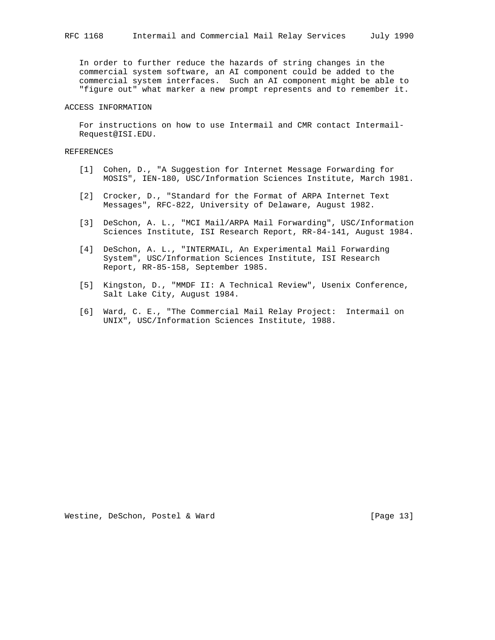In order to further reduce the hazards of string changes in the commercial system software, an AI component could be added to the commercial system interfaces. Such an AI component might be able to "figure out" what marker a new prompt represents and to remember it.

# ACCESS INFORMATION

 For instructions on how to use Intermail and CMR contact Intermail- Request@ISI.EDU.

#### REFERENCES

- [1] Cohen, D., "A Suggestion for Internet Message Forwarding for MOSIS", IEN-180, USC/Information Sciences Institute, March 1981.
- [2] Crocker, D., "Standard for the Format of ARPA Internet Text Messages", RFC-822, University of Delaware, August 1982.
- [3] DeSchon, A. L., "MCI Mail/ARPA Mail Forwarding", USC/Information Sciences Institute, ISI Research Report, RR-84-141, August 1984.
- [4] DeSchon, A. L., "INTERMAIL, An Experimental Mail Forwarding System", USC/Information Sciences Institute, ISI Research Report, RR-85-158, September 1985.
- [5] Kingston, D., "MMDF II: A Technical Review", Usenix Conference, Salt Lake City, August 1984.
- [6] Ward, C. E., "The Commercial Mail Relay Project: Intermail on UNIX", USC/Information Sciences Institute, 1988.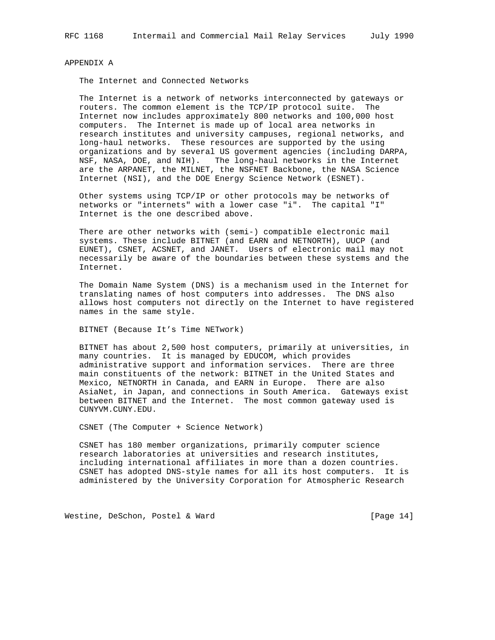## APPENDIX A

The Internet and Connected Networks

 The Internet is a network of networks interconnected by gateways or routers. The common element is the TCP/IP protocol suite. The Internet now includes approximately 800 networks and 100,000 host computers. The Internet is made up of local area networks in research institutes and university campuses, regional networks, and long-haul networks. These resources are supported by the using organizations and by several US goverment agencies (including DARPA, NSF, NASA, DOE, and NIH). The long-haul networks in the Internet are the ARPANET, the MILNET, the NSFNET Backbone, the NASA Science Internet (NSI), and the DOE Energy Science Network (ESNET).

 Other systems using TCP/IP or other protocols may be networks of networks or "internets" with a lower case "i". The capital "I" Internet is the one described above.

 There are other networks with (semi-) compatible electronic mail systems. These include BITNET (and EARN and NETNORTH), UUCP (and EUNET), CSNET, ACSNET, and JANET. Users of electronic mail may not necessarily be aware of the boundaries between these systems and the Internet.

 The Domain Name System (DNS) is a mechanism used in the Internet for translating names of host computers into addresses. The DNS also allows host computers not directly on the Internet to have registered names in the same style.

BITNET (Because It's Time NETwork)

 BITNET has about 2,500 host computers, primarily at universities, in many countries. It is managed by EDUCOM, which provides administrative support and information services. There are three main constituents of the network: BITNET in the United States and Mexico, NETNORTH in Canada, and EARN in Europe. There are also AsiaNet, in Japan, and connections in South America. Gateways exist between BITNET and the Internet. The most common gateway used is CUNYVM.CUNY.EDU.

CSNET (The Computer + Science Network)

 CSNET has 180 member organizations, primarily computer science research laboratories at universities and research institutes, including international affiliates in more than a dozen countries. CSNET has adopted DNS-style names for all its host computers. It is administered by the University Corporation for Atmospheric Research

Westine, DeSchon, Postel & Ward [Page 14]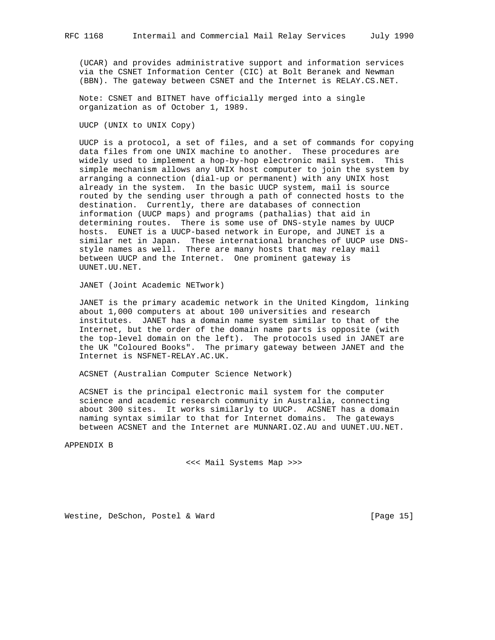(UCAR) and provides administrative support and information services via the CSNET Information Center (CIC) at Bolt Beranek and Newman (BBN). The gateway between CSNET and the Internet is RELAY.CS.NET.

 Note: CSNET and BITNET have officially merged into a single organization as of October 1, 1989.

UUCP (UNIX to UNIX Copy)

 UUCP is a protocol, a set of files, and a set of commands for copying data files from one UNIX machine to another. These procedures are widely used to implement a hop-by-hop electronic mail system. This simple mechanism allows any UNIX host computer to join the system by arranging a connection (dial-up or permanent) with any UNIX host already in the system. In the basic UUCP system, mail is source routed by the sending user through a path of connected hosts to the destination. Currently, there are databases of connection information (UUCP maps) and programs (pathalias) that aid in determining routes. There is some use of DNS-style names by UUCP hosts. EUNET is a UUCP-based network in Europe, and JUNET is a similar net in Japan. These international branches of UUCP use DNS style names as well. There are many hosts that may relay mail between UUCP and the Internet. One prominent gateway is UUNET.UU.NET.

JANET (Joint Academic NETwork)

 JANET is the primary academic network in the United Kingdom, linking about 1,000 computers at about 100 universities and research institutes. JANET has a domain name system similar to that of the Internet, but the order of the domain name parts is opposite (with the top-level domain on the left). The protocols used in JANET are the UK "Coloured Books". The primary gateway between JANET and the Internet is NSFNET-RELAY.AC.UK.

ACSNET (Australian Computer Science Network)

 ACSNET is the principal electronic mail system for the computer science and academic research community in Australia, connecting about 300 sites. It works similarly to UUCP. ACSNET has a domain naming syntax similar to that for Internet domains. The gateways between ACSNET and the Internet are MUNNARI.OZ.AU and UUNET.UU.NET.

APPENDIX B

<<< Mail Systems Map >>>

Westine, DeSchon, Postel & Ward [Page 15]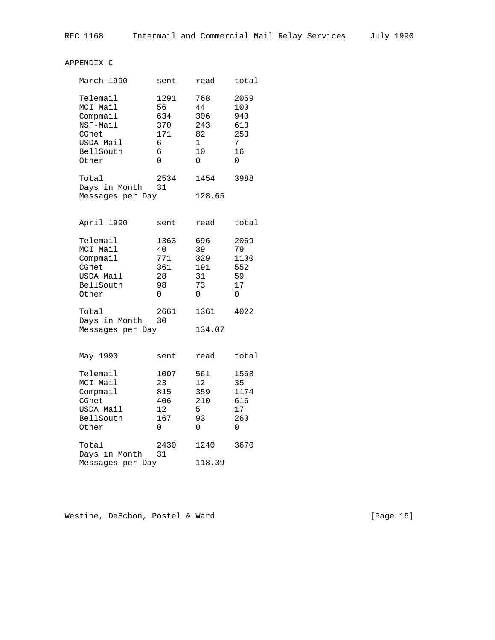# APPENDIX C

| March 1990             | sent       | read   | total |
|------------------------|------------|--------|-------|
| Telemail               | 1291       | 768    | 2059  |
| MCI Mail               | 56         | 44     | 100   |
| Compmail               | 634        | 306    | 940   |
| NSF-Mail               | 370        | 243    | 613   |
| CGnet                  | 171        | 82     | 253   |
| USDA Mail              | 6          | 1      | 7     |
| BellSouth              | 6          | 10     | 16    |
| Other                  | U          | ∩      | ∩     |
| Total<br>Days in Month | 2534<br>31 | 1454   | 3988  |
| Messages per Day       |            | 128.65 |       |
|                        |            |        |       |

| April 1990                                                                   | sent                                      | read                                     | total                                      |
|------------------------------------------------------------------------------|-------------------------------------------|------------------------------------------|--------------------------------------------|
| Telemail<br>MCT Mail<br>Compmail<br>CGnet<br>USDA Mail<br>BellSouth<br>Other | 1363<br>40<br>771<br>361<br>28<br>98<br>O | 696<br>39<br>329<br>191<br>31<br>73<br>N | 2059<br>79<br>1100<br>552<br>59<br>17<br>N |
| Total<br>Days in Month<br>Messages per Day                                   | 2661<br>30                                | 1361<br>134.07                           | 4022                                       |

| May 1990               | sent       | read   | total |
|------------------------|------------|--------|-------|
| Telemail               | 1007       | 561    | 1568  |
| MCI Mail               | 23         | 12.    | 35    |
| Compmail               | 815        | 359    | 1174  |
| CGnet                  | 406        | 210    | 616   |
| USDA Mail              | 12.        | 5      | 17    |
| BellSouth              | 167        | 93     | 260   |
| Other                  | 0          | U      | 0     |
| Total<br>Days in Month | 2430<br>31 | 1240   | 3670  |
| Messages per Day       |            | 118.39 |       |
|                        |            |        |       |

Westine, DeSchon, Postel & Ward (Page 16)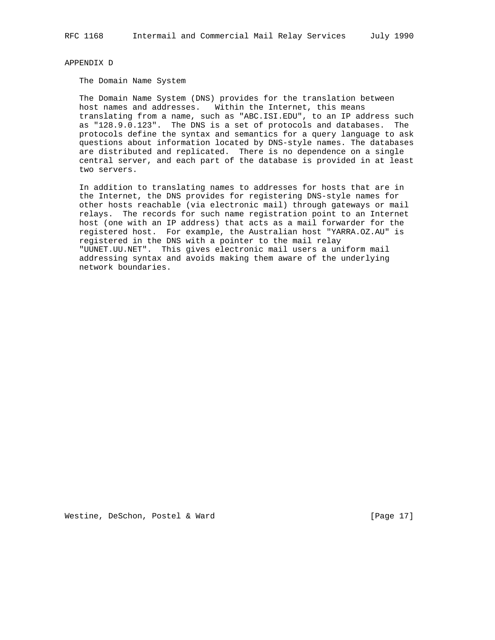APPENDIX D

The Domain Name System

 The Domain Name System (DNS) provides for the translation between host names and addresses. Within the Internet, this means translating from a name, such as "ABC.ISI.EDU", to an IP address such as "128.9.0.123". The DNS is a set of protocols and databases. The protocols define the syntax and semantics for a query language to ask questions about information located by DNS-style names. The databases are distributed and replicated. There is no dependence on a single central server, and each part of the database is provided in at least two servers.

 In addition to translating names to addresses for hosts that are in the Internet, the DNS provides for registering DNS-style names for other hosts reachable (via electronic mail) through gateways or mail relays. The records for such name registration point to an Internet host (one with an IP address) that acts as a mail forwarder for the registered host. For example, the Australian host "YARRA.OZ.AU" is registered in the DNS with a pointer to the mail relay "UUNET.UU.NET". This gives electronic mail users a uniform mail addressing syntax and avoids making them aware of the underlying network boundaries.

Westine, DeSchon, Postel & Ward [Page 17]